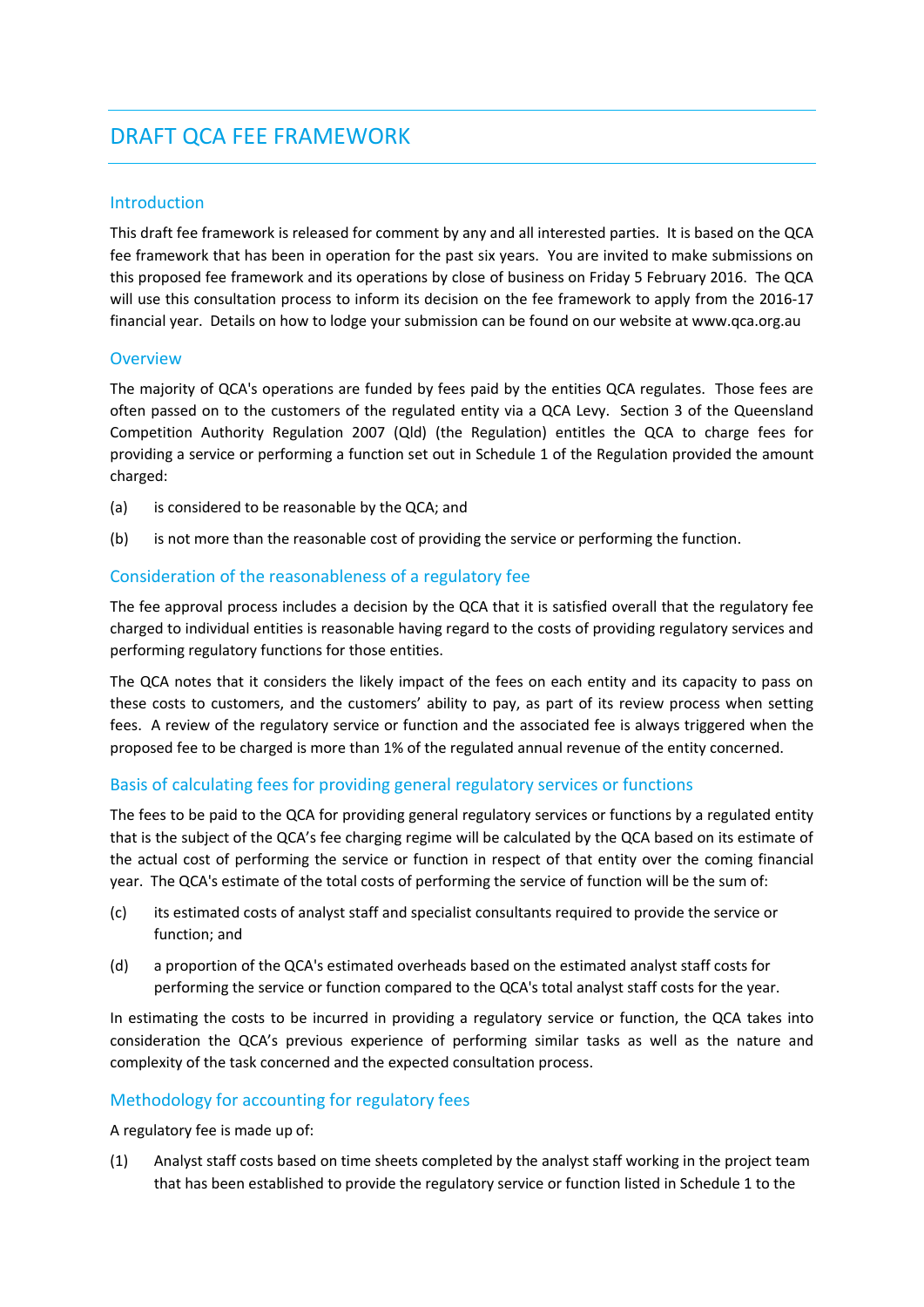# DRAFT QCA FEE FRAMEWORK

#### Introduction

This draft fee framework is released for comment by any and all interested parties. It is based on the QCA fee framework that has been in operation for the past six years. You are invited to make submissions on this proposed fee framework and its operations by close of business on Friday 5 February 2016. The QCA will use this consultation process to inform its decision on the fee framework to apply from the 2016-17 financial year. Details on how to lodge your submission can be found on our website at www.qca.org.au

## **Overview**

The majority of QCA's operations are funded by fees paid by the entities QCA regulates. Those fees are often passed on to the customers of the regulated entity via a QCA Levy. Section 3 of the Queensland Competition Authority Regulation 2007 (Qld) (the Regulation) entitles the QCA to charge fees for providing a service or performing a function set out in Schedule 1 of the Regulation provided the amount charged:

- (a) is considered to be reasonable by the QCA; and
- (b) is not more than the reasonable cost of providing the service or performing the function.

# Consideration of the reasonableness of a regulatory fee

The fee approval process includes a decision by the QCA that it is satisfied overall that the regulatory fee charged to individual entities is reasonable having regard to the costs of providing regulatory services and performing regulatory functions for those entities.

The QCA notes that it considers the likely impact of the fees on each entity and its capacity to pass on these costs to customers, and the customers' ability to pay, as part of its review process when setting fees. A review of the regulatory service or function and the associated fee is always triggered when the proposed fee to be charged is more than 1% of the regulated annual revenue of the entity concerned.

# Basis of calculating fees for providing general regulatory services or functions

The fees to be paid to the QCA for providing general regulatory services or functions by a regulated entity that is the subject of the QCA's fee charging regime will be calculated by the QCA based on its estimate of the actual cost of performing the service or function in respect of that entity over the coming financial year. The QCA's estimate of the total costs of performing the service of function will be the sum of:

- (c) its estimated costs of analyst staff and specialist consultants required to provide the service or function; and
- (d) a proportion of the QCA's estimated overheads based on the estimated analyst staff costs for performing the service or function compared to the QCA's total analyst staff costs for the year.

In estimating the costs to be incurred in providing a regulatory service or function, the QCA takes into consideration the QCA's previous experience of performing similar tasks as well as the nature and complexity of the task concerned and the expected consultation process.

# Methodology for accounting for regulatory fees

A regulatory fee is made up of:

(1) Analyst staff costs based on time sheets completed by the analyst staff working in the project team that has been established to provide the regulatory service or function listed in Schedule 1 to the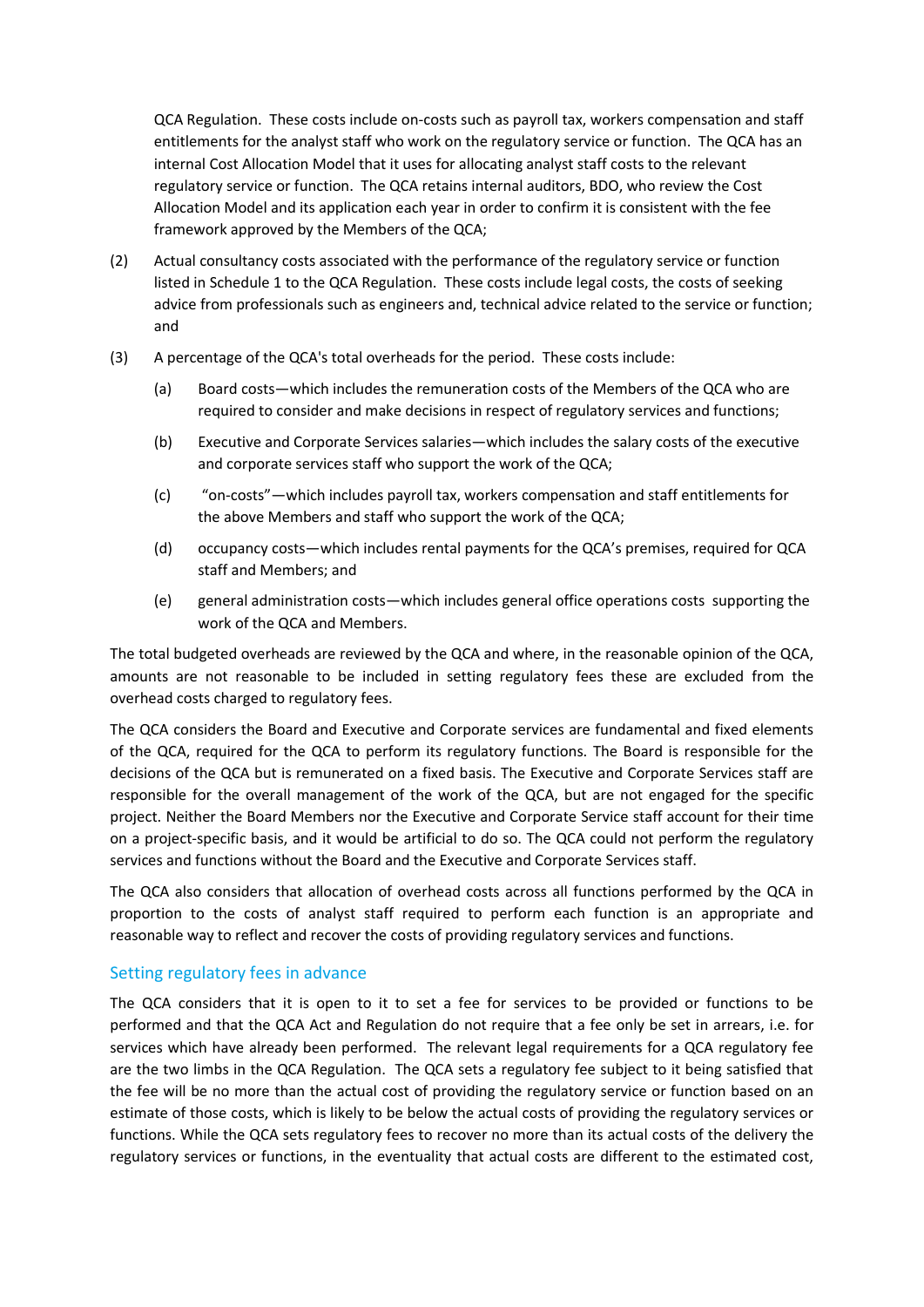QCA Regulation. These costs include on-costs such as payroll tax, workers compensation and staff entitlements for the analyst staff who work on the regulatory service or function. The QCA has an internal Cost Allocation Model that it uses for allocating analyst staff costs to the relevant regulatory service or function. The QCA retains internal auditors, BDO, who review the Cost Allocation Model and its application each year in order to confirm it is consistent with the fee framework approved by the Members of the QCA;

- (2) Actual consultancy costs associated with the performance of the regulatory service or function listed in Schedule 1 to the QCA Regulation. These costs include legal costs, the costs of seeking advice from professionals such as engineers and, technical advice related to the service or function; and
- (3) A percentage of the QCA's total overheads for the period. These costs include:
	- (a) Board costs—which includes the remuneration costs of the Members of the QCA who are required to consider and make decisions in respect of regulatory services and functions;
	- (b) Executive and Corporate Services salaries—which includes the salary costs of the executive and corporate services staff who support the work of the QCA;
	- (c) "on-costs"—which includes payroll tax, workers compensation and staff entitlements for the above Members and staff who support the work of the QCA;
	- (d) occupancy costs—which includes rental payments for the QCA's premises, required for QCA staff and Members; and
	- (e) general administration costs—which includes general office operations costs supporting the work of the QCA and Members.

The total budgeted overheads are reviewed by the QCA and where, in the reasonable opinion of the QCA, amounts are not reasonable to be included in setting regulatory fees these are excluded from the overhead costs charged to regulatory fees.

The QCA considers the Board and Executive and Corporate services are fundamental and fixed elements of the QCA, required for the QCA to perform its regulatory functions. The Board is responsible for the decisions of the QCA but is remunerated on a fixed basis. The Executive and Corporate Services staff are responsible for the overall management of the work of the QCA, but are not engaged for the specific project. Neither the Board Members nor the Executive and Corporate Service staff account for their time on a project-specific basis, and it would be artificial to do so. The QCA could not perform the regulatory services and functions without the Board and the Executive and Corporate Services staff.

The QCA also considers that allocation of overhead costs across all functions performed by the QCA in proportion to the costs of analyst staff required to perform each function is an appropriate and reasonable way to reflect and recover the costs of providing regulatory services and functions.

#### Setting regulatory fees in advance

The QCA considers that it is open to it to set a fee for services to be provided or functions to be performed and that the QCA Act and Regulation do not require that a fee only be set in arrears, i.e. for services which have already been performed. The relevant legal requirements for a QCA regulatory fee are the two limbs in the QCA Regulation. The QCA sets a regulatory fee subject to it being satisfied that the fee will be no more than the actual cost of providing the regulatory service or function based on an estimate of those costs, which is likely to be below the actual costs of providing the regulatory services or functions. While the QCA sets regulatory fees to recover no more than its actual costs of the delivery the regulatory services or functions, in the eventuality that actual costs are different to the estimated cost,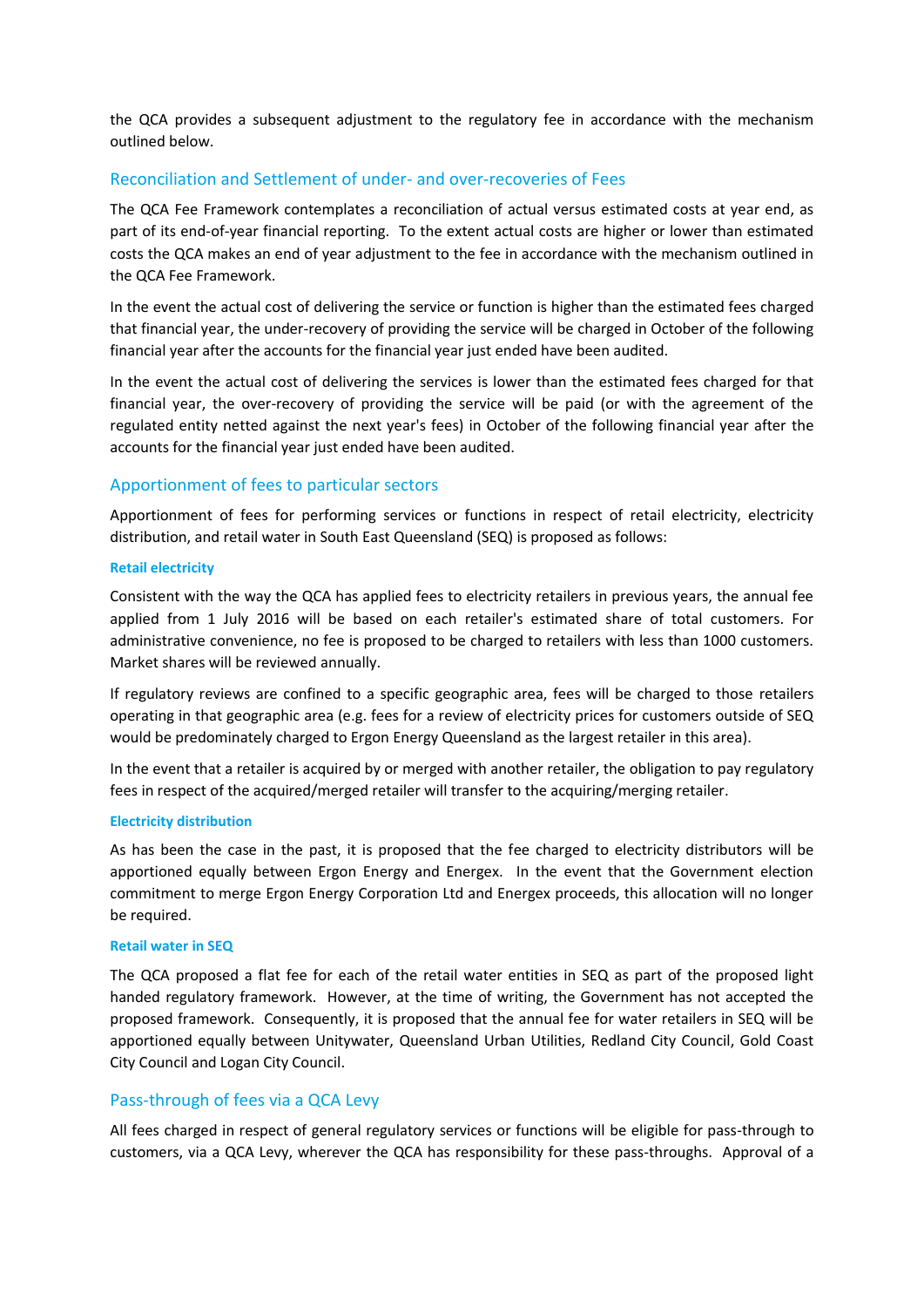the QCA provides a subsequent adjustment to the regulatory fee in accordance with the mechanism outlined below.

#### Reconciliation and Settlement of under- and over-recoveries of Fees

The QCA Fee Framework contemplates a reconciliation of actual versus estimated costs at year end, as part of its end-of-year financial reporting. To the extent actual costs are higher or lower than estimated costs the QCA makes an end of year adjustment to the fee in accordance with the mechanism outlined in the QCA Fee Framework.

In the event the actual cost of delivering the service or function is higher than the estimated fees charged that financial year, the under-recovery of providing the service will be charged in October of the following financial year after the accounts for the financial year just ended have been audited.

In the event the actual cost of delivering the services is lower than the estimated fees charged for that financial year, the over-recovery of providing the service will be paid (or with the agreement of the regulated entity netted against the next year's fees) in October of the following financial year after the accounts for the financial year just ended have been audited.

## Apportionment of fees to particular sectors

Apportionment of fees for performing services or functions in respect of retail electricity, electricity distribution, and retail water in South East Queensland (SEQ) is proposed as follows:

#### **Retail electricity**

Consistent with the way the QCA has applied fees to electricity retailers in previous years, the annual fee applied from 1 July 2016 will be based on each retailer's estimated share of total customers. For administrative convenience, no fee is proposed to be charged to retailers with less than 1000 customers. Market shares will be reviewed annually.

If regulatory reviews are confined to a specific geographic area, fees will be charged to those retailers operating in that geographic area (e.g. fees for a review of electricity prices for customers outside of SEQ would be predominately charged to Ergon Energy Queensland as the largest retailer in this area).

In the event that a retailer is acquired by or merged with another retailer, the obligation to pay regulatory fees in respect of the acquired/merged retailer will transfer to the acquiring/merging retailer.

#### **Electricity distribution**

As has been the case in the past, it is proposed that the fee charged to electricity distributors will be apportioned equally between Ergon Energy and Energex. In the event that the Government election commitment to merge Ergon Energy Corporation Ltd and Energex proceeds, this allocation will no longer be required.

#### **Retail water in SEQ**

The QCA proposed a flat fee for each of the retail water entities in SEQ as part of the proposed light handed regulatory framework. However, at the time of writing, the Government has not accepted the proposed framework. Consequently, it is proposed that the annual fee for water retailers in SEQ will be apportioned equally between Unitywater, Queensland Urban Utilities, Redland City Council, Gold Coast City Council and Logan City Council.

#### Pass-through of fees via a QCA Levy

All fees charged in respect of general regulatory services or functions will be eligible for pass-through to customers, via a QCA Levy, wherever the QCA has responsibility for these pass-throughs. Approval of a